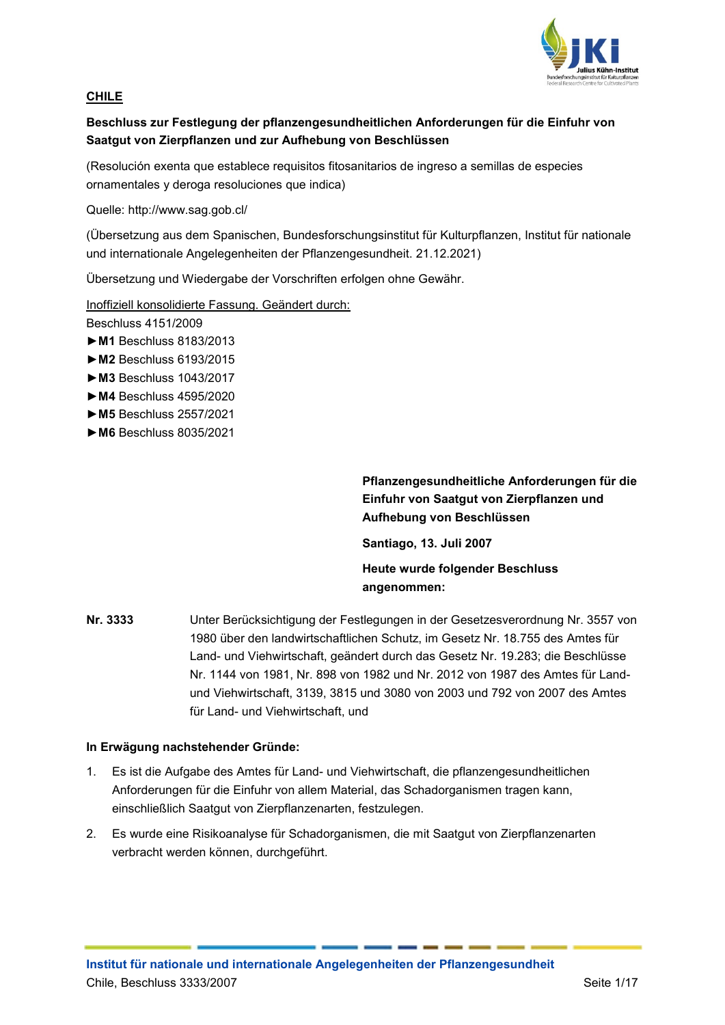

## **CHILE**

## **Beschluss zur Festlegung der pflanzengesundheitlichen Anforderungen für die Einfuhr von Saatgut von Zierpflanzen und zur Aufhebung von Beschlüssen**

(Resolución exenta que establece requisitos fitosanitarios de ingreso a semillas de especies ornamentales y deroga resoluciones que indica)

Quelle: http://www.sag.gob.cl/

(Übersetzung aus dem Spanischen, Bundesforschungsinstitut für Kulturpflanzen, Institut für nationale und internationale Angelegenheiten der Pflanzengesundheit. 21.12.2021)

Übersetzung und Wiedergabe der Vorschriften erfolgen ohne Gewähr.

Inoffiziell konsolidierte Fassung. Geändert durch:

Beschluss 4151/2009

- **►M1** Beschluss 8183/2013
- **►M2** Beschluss 6193/2015
- **►M3** Beschluss 1043/2017
- **►M4** Beschluss 4595/2020
- **►M5** Beschluss 2557/2021
- **►M6** Beschluss 8035/2021

**Pflanzengesundheitliche Anforderungen für die Einfuhr von Saatgut von Zierpflanzen und Aufhebung von Beschlüssen**

**Santiago, 13. Juli 2007**

**Heute wurde folgender Beschluss angenommen:**

**Nr. 3333** Unter Berücksichtigung der Festlegungen in der Gesetzesverordnung Nr. 3557 von 1980 über den landwirtschaftlichen Schutz, im Gesetz Nr. 18.755 des Amtes für Land- und Viehwirtschaft, geändert durch das Gesetz Nr. 19.283; die Beschlüsse Nr. 1144 von 1981, Nr. 898 von 1982 und Nr. 2012 von 1987 des Amtes für Landund Viehwirtschaft, 3139, 3815 und 3080 von 2003 und 792 von 2007 des Amtes für Land- und Viehwirtschaft, und

## **In Erwägung nachstehender Gründe:**

- 1. Es ist die Aufgabe des Amtes für Land- und Viehwirtschaft, die pflanzengesundheitlichen Anforderungen für die Einfuhr von allem Material, das Schadorganismen tragen kann, einschließlich Saatgut von Zierpflanzenarten, festzulegen.
- 2. Es wurde eine Risikoanalyse für Schadorganismen, die mit Saatgut von Zierpflanzenarten verbracht werden können, durchgeführt.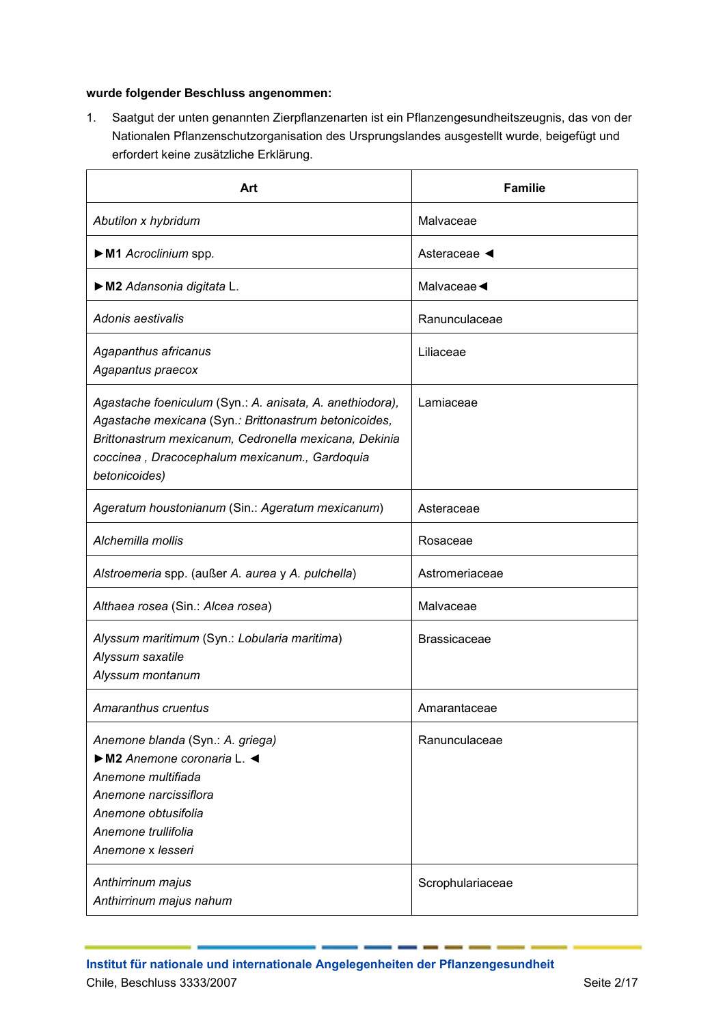## **wurde folgender Beschluss angenommen:**

1. Saatgut der unten genannten Zierpflanzenarten ist ein Pflanzengesundheitszeugnis, das von der Nationalen Pflanzenschutzorganisation des Ursprungslandes ausgestellt wurde, beigefügt und erfordert keine zusätzliche Erklärung.

| Art                                                                                                                                                                                                                                          | <b>Familie</b>                 |
|----------------------------------------------------------------------------------------------------------------------------------------------------------------------------------------------------------------------------------------------|--------------------------------|
| Abutilon x hybridum                                                                                                                                                                                                                          | Malvaceae                      |
| M1 Acroclinium spp.                                                                                                                                                                                                                          | Asteraceae ◀                   |
| M2 Adansonia digitata L.                                                                                                                                                                                                                     | Malvaceae $\blacktriangleleft$ |
| Adonis aestivalis                                                                                                                                                                                                                            | Ranunculaceae                  |
| Agapanthus africanus<br>Agapantus praecox                                                                                                                                                                                                    | Liliaceae                      |
| Agastache foeniculum (Syn.: A. anisata, A. anethiodora),<br>Agastache mexicana (Syn.: Brittonastrum betonicoides,<br>Brittonastrum mexicanum, Cedronella mexicana, Dekinia<br>coccinea, Dracocephalum mexicanum., Gardoquia<br>betonicoides) | Lamiaceae                      |
| Ageratum houstonianum (Sin.: Ageratum mexicanum)                                                                                                                                                                                             | Asteraceae                     |
| Alchemilla mollis                                                                                                                                                                                                                            | Rosaceae                       |
| Alstroemeria spp. (außer A. aurea y A. pulchella)                                                                                                                                                                                            | Astromeriaceae                 |
| Althaea rosea (Sin.: Alcea rosea)                                                                                                                                                                                                            | Malvaceae                      |
| Alyssum maritimum (Syn.: Lobularia maritima)<br>Alyssum saxatile<br>Alyssum montanum                                                                                                                                                         | <b>Brassicaceae</b>            |
| Amaranthus cruentus                                                                                                                                                                                                                          | Amarantaceae                   |
| Anemone blanda (Syn.: A. griega)<br>M2 Anemone coronaria L.<br>Anemone multifiada<br>Anemone narcissiflora<br>Anemone obtusifolia<br>Anemone trullifolia<br>Anemone x lesseri                                                                | Ranunculaceae                  |
| Anthirrinum majus<br>Anthirrinum majus nahum                                                                                                                                                                                                 | Scrophulariaceae               |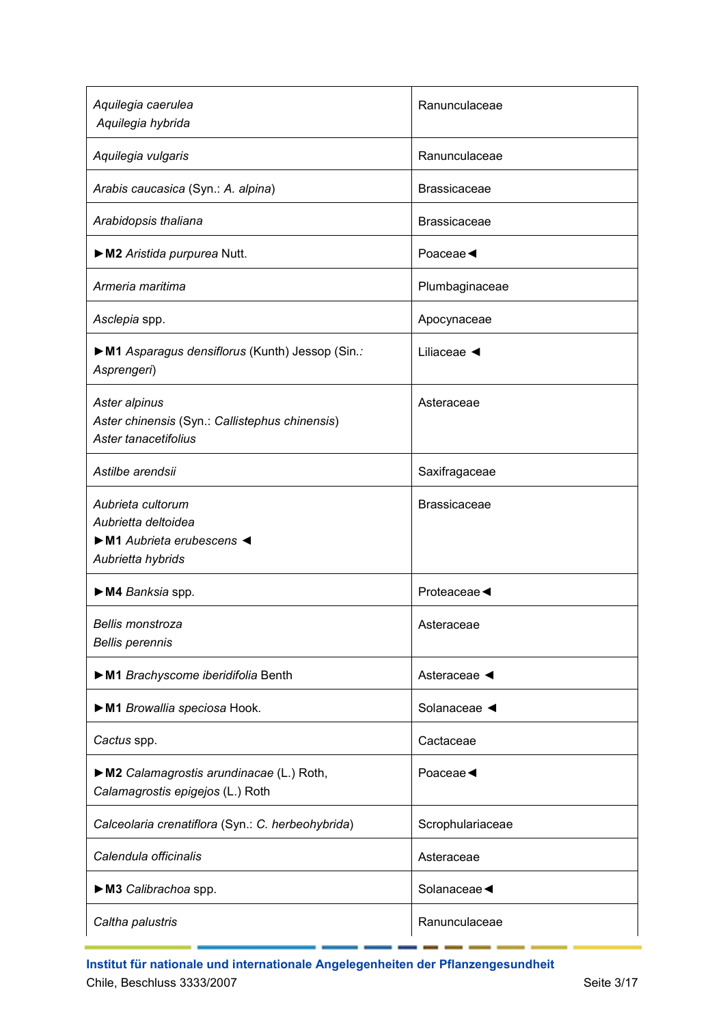| Aquilegia caerulea<br>Aquilegia hybrida                                                                    | Ranunculaceae                  |
|------------------------------------------------------------------------------------------------------------|--------------------------------|
| Aquilegia vulgaris                                                                                         | Ranunculaceae                  |
| Arabis caucasica (Syn.: A. alpina)                                                                         | <b>Brassicaceae</b>            |
| Arabidopsis thaliana                                                                                       | <b>Brassicaceae</b>            |
| M2 Aristida purpurea Nutt.                                                                                 | Poaceae                        |
| Armeria maritima                                                                                           | Plumbaginaceae                 |
| Asclepia spp.                                                                                              | Apocynaceae                    |
| M1 Asparagus densiflorus (Kunth) Jessop (Sin.:<br>Asprengeri)                                              | Liliaceae $\blacktriangleleft$ |
| Aster alpinus<br>Aster chinensis (Syn.: Callistephus chinensis)<br>Aster tanacetifolius                    | Asteraceae                     |
| Astilbe arendsii                                                                                           | Saxifragaceae                  |
| Aubrieta cultorum<br>Aubrietta deltoidea<br>$\triangleright$ M1 Aubrieta erubescens <<br>Aubrietta hybrids | <b>Brassicaceae</b>            |
| M4 Banksia spp.                                                                                            | Proteaceae                     |
| <b>Bellis monstroza</b><br><b>Bellis perennis</b>                                                          | Asteraceae                     |
| M1 Brachyscome iberidifolia Benth                                                                          | Asteraceae                     |
| M1 Browallia speciosa Hook.                                                                                | Solanaceae <                   |
| Cactus spp.                                                                                                | Cactaceae                      |
| M2 Calamagrostis arundinacae (L.) Roth,<br>Calamagrostis epigejos (L.) Roth                                | Poaceae                        |
| Calceolaria crenatiflora (Syn.: C. herbeohybrida)                                                          | Scrophulariaceae               |
| Calendula officinalis                                                                                      | Asteraceae                     |
| M3 Calibrachoa spp.                                                                                        | Solanaceae                     |
| Caltha palustris                                                                                           | Ranunculaceae                  |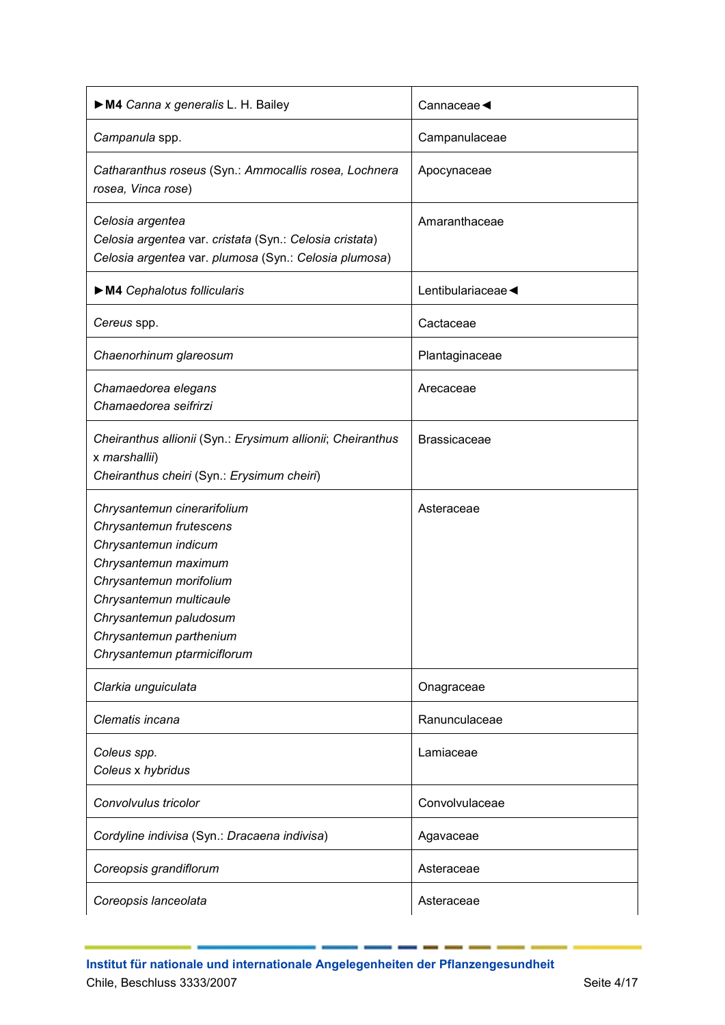| M4 Canna x generalis L. H. Bailey                                                                                                                                                                                                                | Cannaceae $\blacktriangleleft$ |
|--------------------------------------------------------------------------------------------------------------------------------------------------------------------------------------------------------------------------------------------------|--------------------------------|
| Campanula spp.                                                                                                                                                                                                                                   | Campanulaceae                  |
| Catharanthus roseus (Syn.: Ammocallis rosea, Lochnera<br>rosea, Vinca rose)                                                                                                                                                                      | Apocynaceae                    |
| Celosia argentea<br>Celosia argentea var. cristata (Syn.: Celosia cristata)<br>Celosia argentea var. plumosa (Syn.: Celosia plumosa)                                                                                                             | Amaranthaceae                  |
| M4 Cephalotus follicularis                                                                                                                                                                                                                       | Lentibulariaceae               |
| Cereus spp.                                                                                                                                                                                                                                      | Cactaceae                      |
| Chaenorhinum glareosum                                                                                                                                                                                                                           | Plantaginaceae                 |
| Chamaedorea elegans<br>Chamaedorea seifrirzi                                                                                                                                                                                                     | Arecaceae                      |
| Cheiranthus allionii (Syn.: Erysimum allionii; Cheiranthus<br>x marshallii)<br>Cheiranthus cheiri (Syn.: Erysimum cheiri)                                                                                                                        | <b>Brassicaceae</b>            |
| Chrysantemun cinerarifolium<br>Chrysantemun frutescens<br>Chrysantemun indicum<br>Chrysantemun maximum<br>Chrysantemun morifolium<br>Chrysantemun multicaule<br>Chrysantemun paludosum<br>Chrysantemun parthenium<br>Chrysantemun ptarmiciflorum | Asteraceae                     |
| Clarkia unguiculata                                                                                                                                                                                                                              | Onagraceae                     |
| Clematis incana                                                                                                                                                                                                                                  | Ranunculaceae                  |
| Coleus spp.<br>Coleus x hybridus                                                                                                                                                                                                                 | Lamiaceae                      |
| Convolvulus tricolor                                                                                                                                                                                                                             | Convolvulaceae                 |
| Cordyline indivisa (Syn.: Dracaena indivisa)                                                                                                                                                                                                     | Agavaceae                      |
| Coreopsis grandiflorum                                                                                                                                                                                                                           | Asteraceae                     |
| Coreopsis lanceolata                                                                                                                                                                                                                             | Asteraceae                     |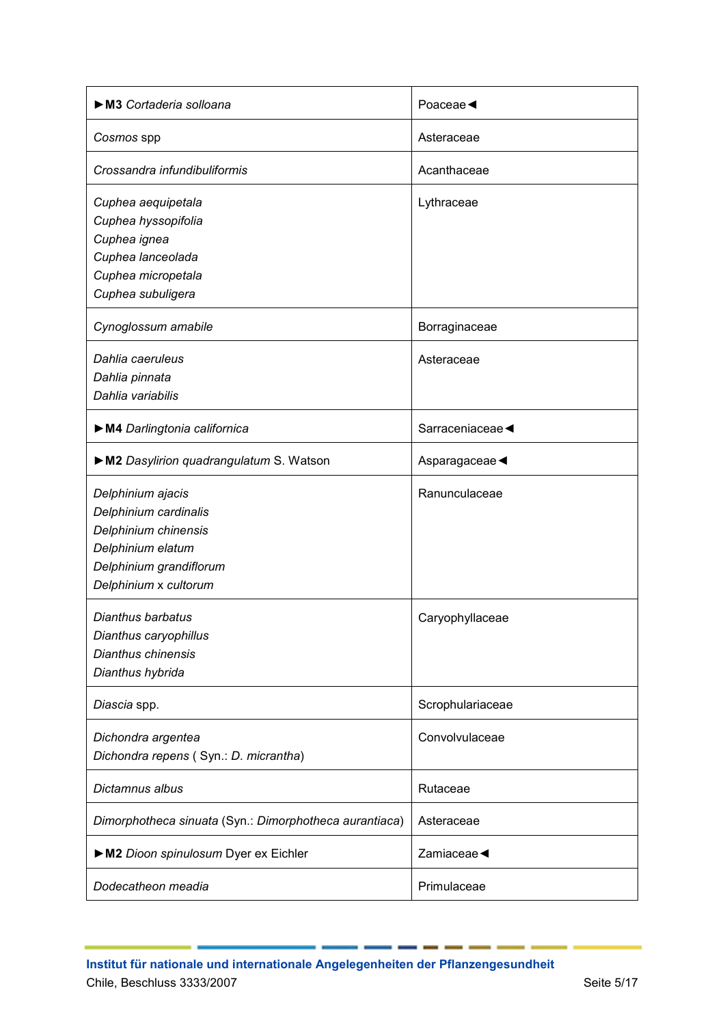| M3 Cortaderia solloana                                 | Poaceae $\triangleleft$        |
|--------------------------------------------------------|--------------------------------|
| Cosmos spp                                             | Asteraceae                     |
| Crossandra infundibuliformis                           | Acanthaceae                    |
| Cuphea aequipetala                                     | Lythraceae                     |
| Cuphea hyssopifolia                                    |                                |
| Cuphea ignea                                           |                                |
| Cuphea lanceolada                                      |                                |
| Cuphea micropetala                                     |                                |
| Cuphea subuligera                                      |                                |
| Cynoglossum amabile                                    | Borraginaceae                  |
| Dahlia caeruleus                                       | Asteraceae                     |
| Dahlia pinnata                                         |                                |
| Dahlia variabilis                                      |                                |
| M4 Darlingtonia californica                            | Sarraceniaceae <               |
| M2 Dasylirion quadrangulatum S. Watson                 | Asparagaceae                   |
| Delphinium ajacis                                      | Ranunculaceae                  |
| Delphinium cardinalis                                  |                                |
| Delphinium chinensis                                   |                                |
| Delphinium elatum                                      |                                |
| Delphinium grandiflorum                                |                                |
| Delphinium x cultorum                                  |                                |
| Dianthus barbatus                                      | Caryophyllaceae                |
| Dianthus caryophillus                                  |                                |
| Dianthus chinensis                                     |                                |
| Dianthus hybrida                                       |                                |
|                                                        |                                |
| Diascia spp.                                           | Scrophulariaceae               |
| Dichondra argentea                                     | Convolvulaceae                 |
| Dichondra repens (Syn.: D. micrantha)                  |                                |
| Dictamnus albus                                        | Rutaceae                       |
| Dimorphotheca sinuata (Syn.: Dimorphotheca aurantiaca) | Asteraceae                     |
| M2 Dioon spinulosum Dyer ex Eichler                    | Zamiaceae $\blacktriangleleft$ |
| Dodecatheon meadia                                     | Primulaceae                    |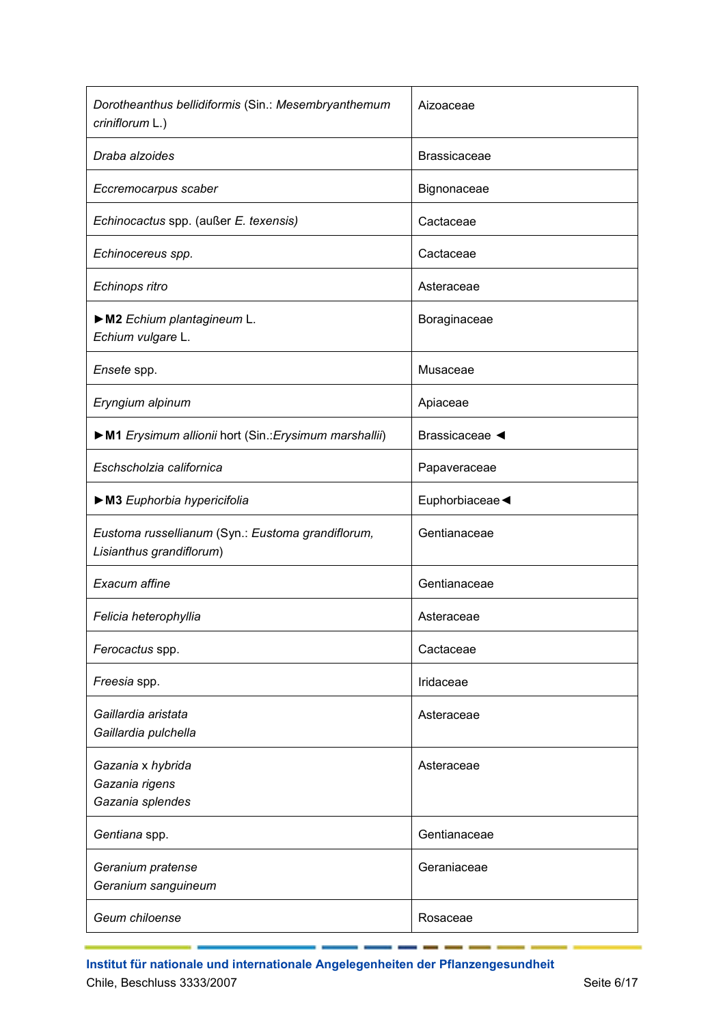| Dorotheanthus bellidiformis (Sin.: Mesembryanthemum<br>criniflorum L.)        | Aizoaceae           |
|-------------------------------------------------------------------------------|---------------------|
| Draba alzoides                                                                | <b>Brassicaceae</b> |
| Eccremocarpus scaber                                                          | Bignonaceae         |
| Echinocactus spp. (außer E. texensis)                                         | Cactaceae           |
| Echinocereus spp.                                                             | Cactaceae           |
| Echinops ritro                                                                | Asteraceae          |
| M2 Echium plantagineum L.<br>Echium vulgare L.                                | Boraginaceae        |
| Ensete spp.                                                                   | Musaceae            |
| Eryngium alpinum                                                              | Apiaceae            |
| M1 Erysimum allionii hort (Sin.: Erysimum marshallii)                         | Brassicaceae <      |
| Eschscholzia californica                                                      | Papaveraceae        |
| M3 Euphorbia hypericifolia                                                    | Euphorbiaceae       |
| Eustoma russellianum (Syn.: Eustoma grandiflorum,<br>Lisianthus grandiflorum) | Gentianaceae        |
| Exacum affine                                                                 | Gentianaceae        |
| Felicia heterophyllia                                                         | Asteraceae          |
| Ferocactus spp.                                                               | Cactaceae           |
| Freesia spp.                                                                  | Iridaceae           |
| Gaillardia aristata<br>Gaillardia pulchella                                   | Asteraceae          |
| Gazania x hybrida<br>Gazania rigens<br>Gazania splendes                       | Asteraceae          |
| Gentiana spp.                                                                 | Gentianaceae        |
| Geranium pratense<br>Geranium sanguineum                                      | Geraniaceae         |
| Geum chiloense                                                                | Rosaceae            |

**Institut für nationale und internationale Angelegenheiten der Pflanzengesundheit** Chile, Beschluss 3333/2007 Seite 6/17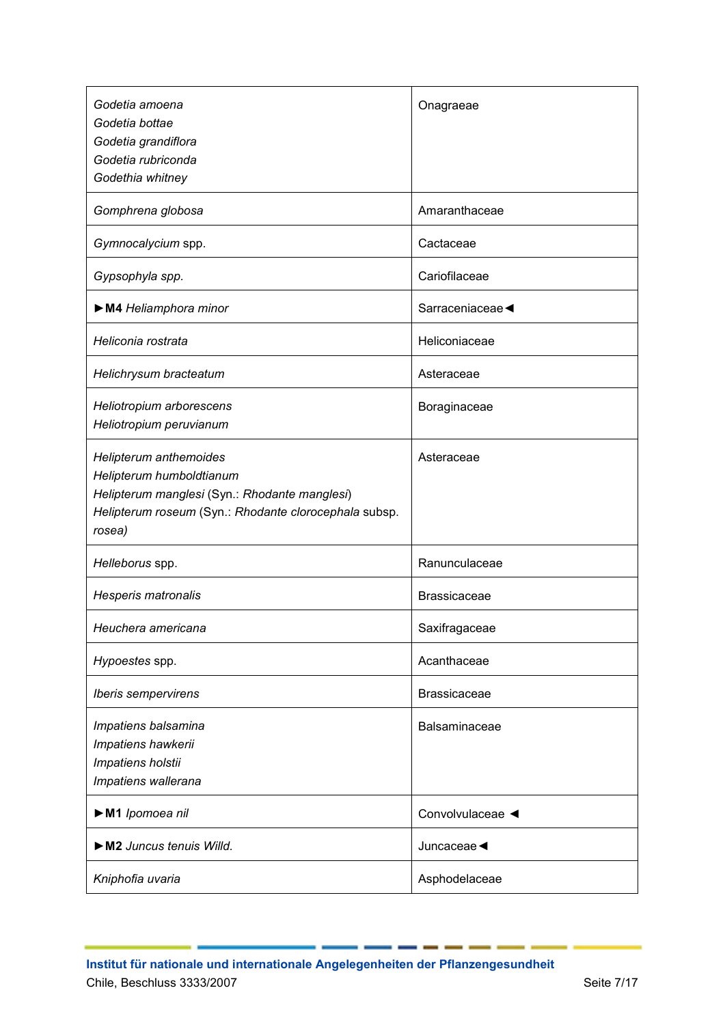| Godetia amoena<br>Godetia bottae<br>Godetia grandiflora<br>Godetia rubriconda<br>Godethia whitney                                                                      | Onagraeae           |
|------------------------------------------------------------------------------------------------------------------------------------------------------------------------|---------------------|
| Gomphrena globosa                                                                                                                                                      | Amaranthaceae       |
| Gymnocalycium spp.                                                                                                                                                     | Cactaceae           |
| Gypsophyla spp.                                                                                                                                                        | Cariofilaceae       |
| M4 Heliamphora minor                                                                                                                                                   | Sarraceniaceae      |
| Heliconia rostrata                                                                                                                                                     | Heliconiaceae       |
| Helichrysum bracteatum                                                                                                                                                 | Asteraceae          |
| Heliotropium arborescens<br>Heliotropium peruvianum                                                                                                                    | Boraginaceae        |
| Helipterum anthemoides<br>Helipterum humboldtianum<br>Helipterum manglesi (Syn.: Rhodante manglesi)<br>Helipterum roseum (Syn.: Rhodante clorocephala subsp.<br>rosea) | Asteraceae          |
| Helleborus spp.                                                                                                                                                        | Ranunculaceae       |
| Hesperis matronalis                                                                                                                                                    | <b>Brassicaceae</b> |
| Heuchera americana                                                                                                                                                     | Saxifragaceae       |
| Hypoestes spp.                                                                                                                                                         | Acanthaceae         |
| Iberis sempervirens                                                                                                                                                    | <b>Brassicaceae</b> |
| Impatiens balsamina<br>Impatiens hawkerii<br>Impatiens holstii<br>Impatiens wallerana                                                                                  | Balsaminaceae       |
| M1 Ipomoea nil                                                                                                                                                         | Convolvulaceae <    |
| M2 Juncus tenuis Willd.                                                                                                                                                | Juncaceae           |
| Kniphofia uvaria                                                                                                                                                       | Asphodelaceae       |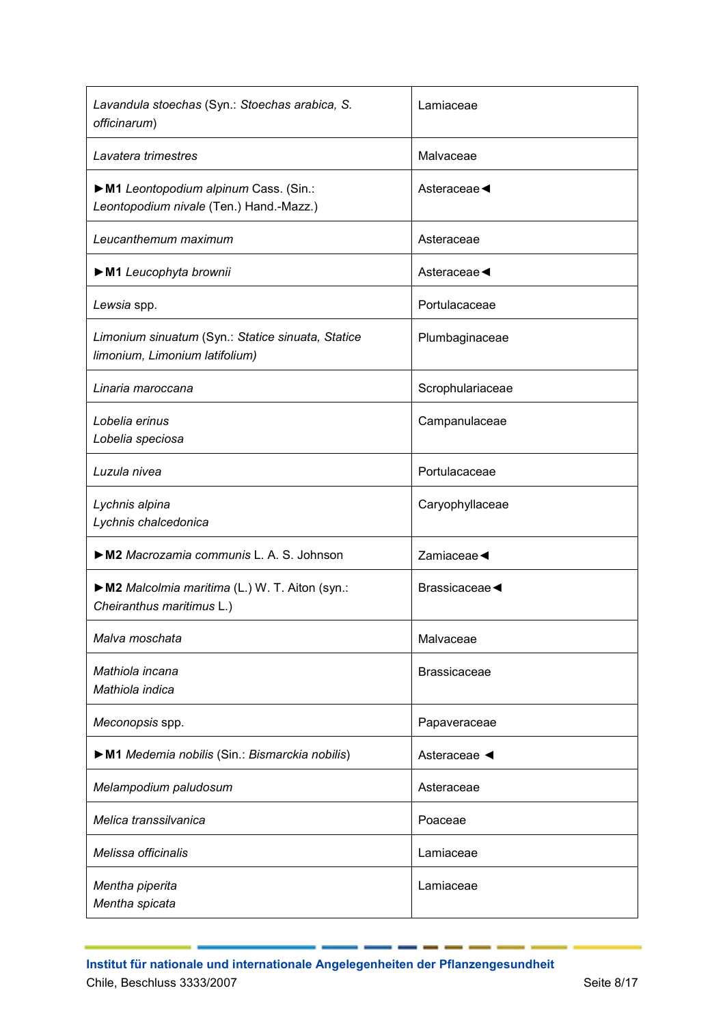| Lavandula stoechas (Syn.: Stoechas arabica, S.<br>officinarum)                      | Lamiaceae           |
|-------------------------------------------------------------------------------------|---------------------|
| Lavatera trimestres                                                                 | Malvaceae           |
| M1 Leontopodium alpinum Cass. (Sin.:<br>Leontopodium nivale (Ten.) Hand.-Mazz.)     | Asteraceae ◀        |
| Leucanthemum maximum                                                                | Asteraceae          |
| M1 Leucophyta brownii                                                               | Asteraceae ◀        |
| Lewsia spp.                                                                         | Portulacaceae       |
| Limonium sinuatum (Syn.: Statice sinuata, Statice<br>limonium, Limonium latifolium) | Plumbaginaceae      |
| Linaria maroccana                                                                   | Scrophulariaceae    |
| Lobelia erinus<br>Lobelia speciosa                                                  | Campanulaceae       |
| Luzula nivea                                                                        | Portulacaceae       |
| Lychnis alpina<br>Lychnis chalcedonica                                              | Caryophyllaceae     |
| M2 Macrozamia communis L. A. S. Johnson                                             | Zamiaceae <         |
| M2 Malcolmia maritima (L.) W. T. Aiton (syn.:<br>Cheiranthus maritimus L.)          | Brassicaceae ◀      |
| Malva moschata                                                                      | Malvaceae           |
| Mathiola incana<br>Mathiola indica                                                  | <b>Brassicaceae</b> |
| Meconopsis spp.                                                                     | Papaveraceae        |
| M1 Medemia nobilis (Sin.: Bismarckia nobilis)                                       | Asteraceae          |
| Melampodium paludosum                                                               | Asteraceae          |
| Melica transsilvanica                                                               | Poaceae             |
| Melissa officinalis                                                                 | Lamiaceae           |
| Mentha piperita<br>Mentha spicata                                                   | Lamiaceae           |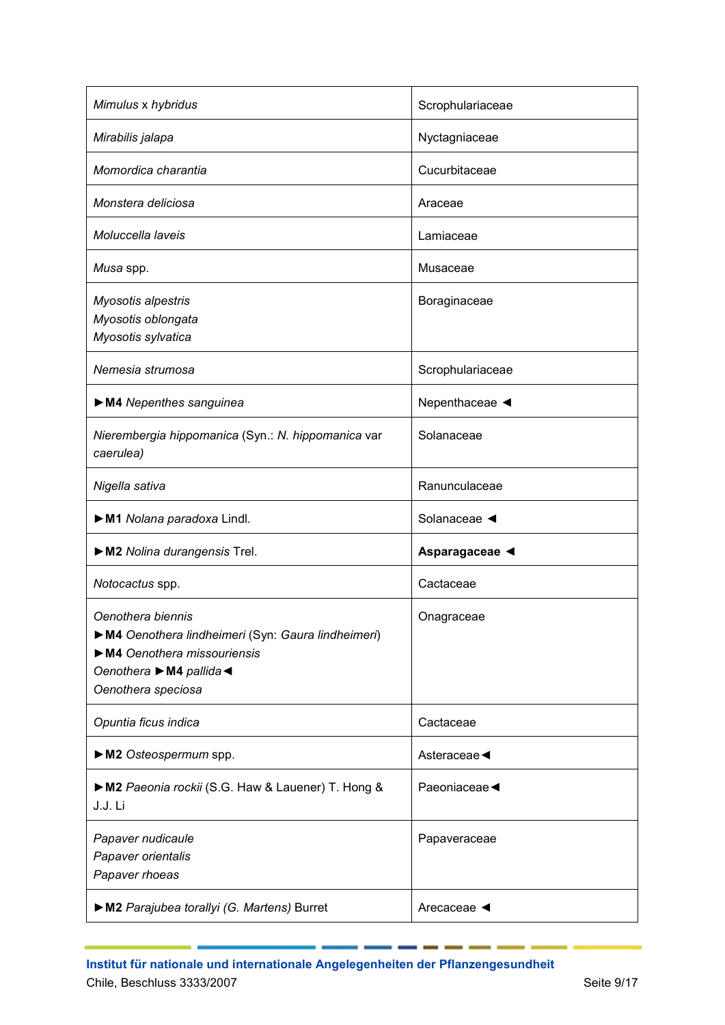| Mimulus x hybridus                                                                                                                                     | Scrophulariaceae               |
|--------------------------------------------------------------------------------------------------------------------------------------------------------|--------------------------------|
| Mirabilis jalapa                                                                                                                                       | Nyctagniaceae                  |
| Momordica charantia                                                                                                                                    | Cucurbitaceae                  |
| Monstera deliciosa                                                                                                                                     | Araceae                        |
| Moluccella laveis                                                                                                                                      | Lamiaceae                      |
| Musa spp.                                                                                                                                              | Musaceae                       |
| Myosotis alpestris<br>Myosotis oblongata<br>Myosotis sylvatica                                                                                         | Boraginaceae                   |
| Nemesia strumosa                                                                                                                                       | Scrophulariaceae               |
| M4 Nepenthes sanguinea                                                                                                                                 | Nepenthaceae <                 |
| Nierembergia hippomanica (Syn.: N. hippomanica var<br>caerulea)                                                                                        | Solanaceae                     |
| Nigella sativa                                                                                                                                         | Ranunculaceae                  |
| M1 Nolana paradoxa Lindl.                                                                                                                              | Solanaceae <                   |
| M2 Nolina durangensis Trel.                                                                                                                            | Asparagaceae <                 |
| Notocactus spp.                                                                                                                                        | Cactaceae                      |
| Oenothera biennis<br>M4 Oenothera lindheimeri (Syn: Gaura lindheimeri)<br>M4 Oenothera missouriensis<br>Oenothera ▶ M4 pallida ◀<br>Oenothera speciosa | Onagraceae                     |
| Opuntia ficus indica                                                                                                                                   | Cactaceae                      |
| M2 Osteospermum spp.                                                                                                                                   | Asteraceae                     |
| M2 Paeonia rockii (S.G. Haw & Lauener) T. Hong &<br>J.J. Li                                                                                            | Paeoniaceae                    |
| Papaver nudicaule<br>Papaver orientalis<br>Papaver rhoeas                                                                                              | Papaveraceae                   |
| M2 Parajubea torallyi (G. Martens) Burret                                                                                                              | Arecaceae $\blacktriangleleft$ |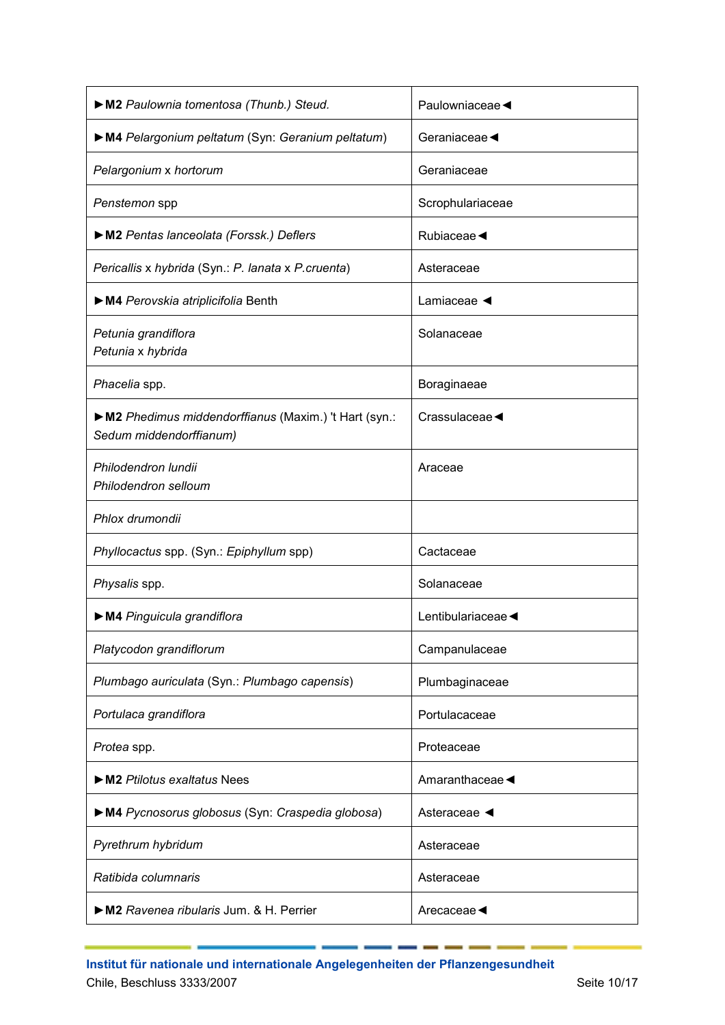| M2 Paulownia tomentosa (Thunb.) Steud.                                            | Paulowniaceae <                   |
|-----------------------------------------------------------------------------------|-----------------------------------|
| M4 Pelargonium peltatum (Syn: Geranium peltatum)                                  | Geraniaceae                       |
| Pelargonium x hortorum                                                            | Geraniaceae                       |
| Penstemon spp                                                                     | Scrophulariaceae                  |
| M2 Pentas lanceolata (Forssk.) Deflers                                            | Rubiaceae ◀                       |
| Pericallis x hybrida (Syn.: P. lanata x P.cruenta)                                | Asteraceae                        |
| M4 Perovskia atriplicifolia Benth                                                 | Lamiaceae $\blacktriangleleft$    |
| Petunia grandiflora<br>Petunia x hybrida                                          | Solanaceae                        |
| Phacelia spp.                                                                     | Boraginaeae                       |
| ▶ M2 Phedimus middendorffianus (Maxim.) 't Hart (syn.:<br>Sedum middendorffianum) | Crassulaceae $\blacktriangleleft$ |
| Philodendron lundii<br>Philodendron selloum                                       | Araceae                           |
| Phlox drumondii                                                                   |                                   |
| Phyllocactus spp. (Syn.: Epiphyllum spp)                                          | Cactaceae                         |
| Physalis spp.                                                                     | Solanaceae                        |
| M4 Pinguicula grandiflora                                                         | Lentibulariaceae                  |
| Platycodon grandiflorum                                                           | Campanulaceae                     |
| Plumbago auriculata (Syn.: Plumbago capensis)                                     | Plumbaginaceae                    |
| Portulaca grandiflora                                                             | Portulacaceae                     |
| Protea spp.                                                                       | Proteaceae                        |
| $\triangleright$ M2 Ptilotus exaltatus Nees                                       | Amaranthaceae                     |
| M4 Pycnosorus globosus (Syn: Craspedia globosa)                                   | Asteraceae ◀                      |
| Pyrethrum hybridum                                                                | Asteraceae                        |
| Ratibida columnaris                                                               | Asteraceae                        |
| M2 Ravenea ribularis Jum. & H. Perrier                                            | Arecaceae                         |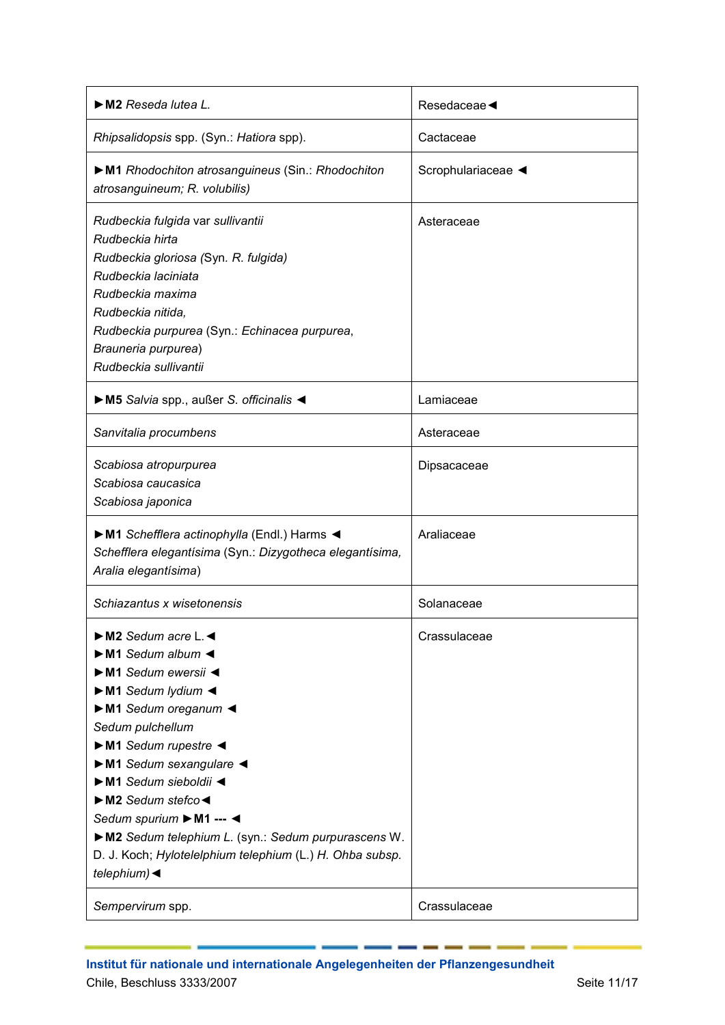| M2 Reseda lutea L.                                                                                                                                                                                                                                                                                                                                                                                                                                                                                                                                                                               | Resedaceae         |
|--------------------------------------------------------------------------------------------------------------------------------------------------------------------------------------------------------------------------------------------------------------------------------------------------------------------------------------------------------------------------------------------------------------------------------------------------------------------------------------------------------------------------------------------------------------------------------------------------|--------------------|
| Rhipsalidopsis spp. (Syn.: Hatiora spp).                                                                                                                                                                                                                                                                                                                                                                                                                                                                                                                                                         | Cactaceae          |
| M1 Rhodochiton atrosanguineus (Sin.: Rhodochiton<br>atrosanguineum; R. volubilis)                                                                                                                                                                                                                                                                                                                                                                                                                                                                                                                | Scrophulariaceae < |
| Rudbeckia fulgida var sullivantii<br>Rudbeckia hirta<br>Rudbeckia gloriosa (Syn. R. fulgida)<br>Rudbeckia laciniata<br>Rudbeckia maxima<br>Rudbeckia nitida,<br>Rudbeckia purpurea (Syn.: Echinacea purpurea,<br>Brauneria purpurea)<br>Rudbeckia sullivantii                                                                                                                                                                                                                                                                                                                                    | Asteraceae         |
| M5 Salvia spp., außer S. officinalis <                                                                                                                                                                                                                                                                                                                                                                                                                                                                                                                                                           | Lamiaceae          |
| Sanvitalia procumbens                                                                                                                                                                                                                                                                                                                                                                                                                                                                                                                                                                            | Asteraceae         |
| Scabiosa atropurpurea<br>Scabiosa caucasica<br>Scabiosa japonica                                                                                                                                                                                                                                                                                                                                                                                                                                                                                                                                 | Dipsacaceae        |
| M1 Schefflera actinophylla (Endl.) Harms <<br>Schefflera elegantísima (Syn.: Dizygotheca elegantísima,<br>Aralia elegantísima)                                                                                                                                                                                                                                                                                                                                                                                                                                                                   | Araliaceae         |
| Schiazantus x wisetonensis                                                                                                                                                                                                                                                                                                                                                                                                                                                                                                                                                                       | Solanaceae         |
| $\triangleright$ M2 Sedum acre L.<br>$\triangleright$ M1 Sedum album $\blacktriangleleft$<br>$\triangleright$ M1 Sedum ewersii <<br>$\triangleright$ M1 Sedum lydium $\blacktriangleleft$<br>M1 Sedum oreganum<br>Sedum pulchellum<br>$\triangleright$ M1 Sedum rupestre $\triangleleft$<br>$\triangleright$ M1 Sedum sexangulare <<br>M1 Sedum sieboldii <<br>$\triangleright$ M2 Sedum stefco $\triangleleft$<br>Sedum spurium ▶ M1 --- ◀<br>M2 Sedum telephium L. (syn.: Sedum purpurascens W.<br>D. J. Koch; Hylotelelphium telephium (L.) H. Ohba subsp.<br>telephium) $\blacktriangleleft$ | Crassulaceae       |
| Sempervirum spp.                                                                                                                                                                                                                                                                                                                                                                                                                                                                                                                                                                                 | Crassulaceae       |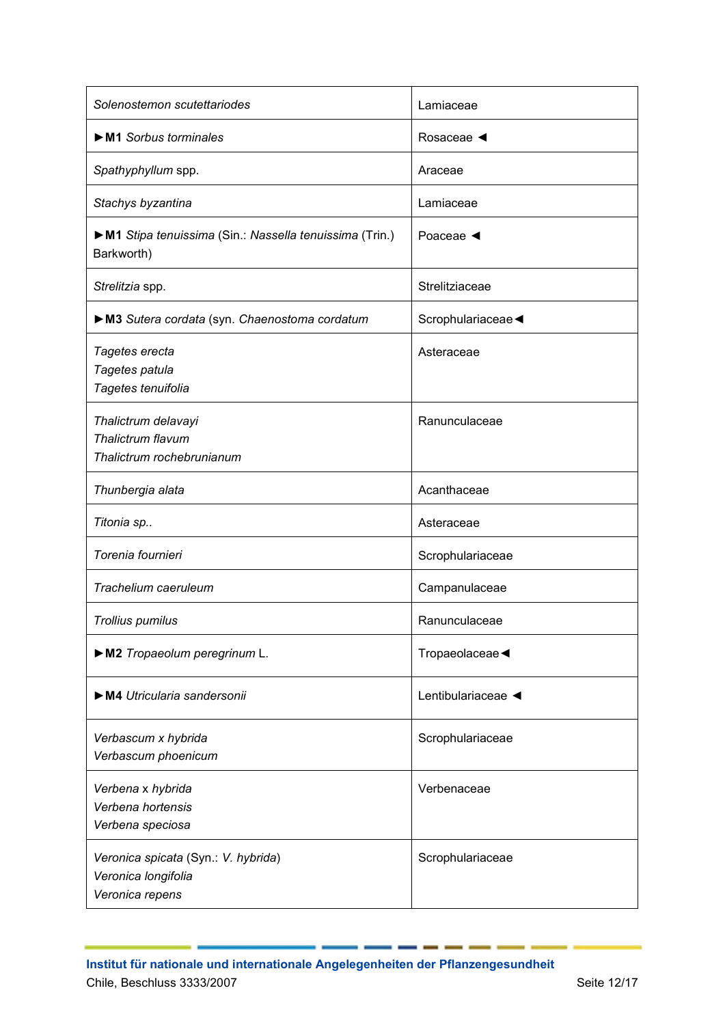| Solenostemon scutettariodes                                                   | Lamiaceae               |
|-------------------------------------------------------------------------------|-------------------------|
| $\triangleright$ M1 Sorbus torminales                                         | Rosaceae ◀              |
| Spathyphyllum spp.                                                            | Araceae                 |
| Stachys byzantina                                                             | Lamiaceae               |
| ► M1 Stipa tenuissima (Sin.: Nassella tenuissima (Trin.)<br>Barkworth)        | Poaceae $\triangleleft$ |
| Strelitzia spp.                                                               | Strelitziaceae          |
| M3 Sutera cordata (syn. Chaenostoma cordatum                                  | Scrophulariaceae        |
| Tagetes erecta<br>Tagetes patula<br>Tagetes tenuifolia                        | Asteraceae              |
| Thalictrum delavayi<br>Thalictrum flavum<br>Thalictrum rochebrunianum         | Ranunculaceae           |
| Thunbergia alata                                                              | Acanthaceae             |
| Titonia sp                                                                    | Asteraceae              |
| Torenia fournieri                                                             | Scrophulariaceae        |
| Trachelium caeruleum                                                          | Campanulaceae           |
| Trollius pumilus                                                              | Ranunculaceae           |
| M2 Tropaeolum peregrinum L.                                                   | Tropaeolaceae           |
| M4 Utricularia sandersonii                                                    | Lentibulariaceae        |
| Verbascum x hybrida<br>Verbascum phoenicum                                    | Scrophulariaceae        |
| Verbena x hybrida<br>Verbena hortensis<br>Verbena speciosa                    | Verbenaceae             |
| Veronica spicata (Syn.: V. hybrida)<br>Veronica longifolia<br>Veronica repens | Scrophulariaceae        |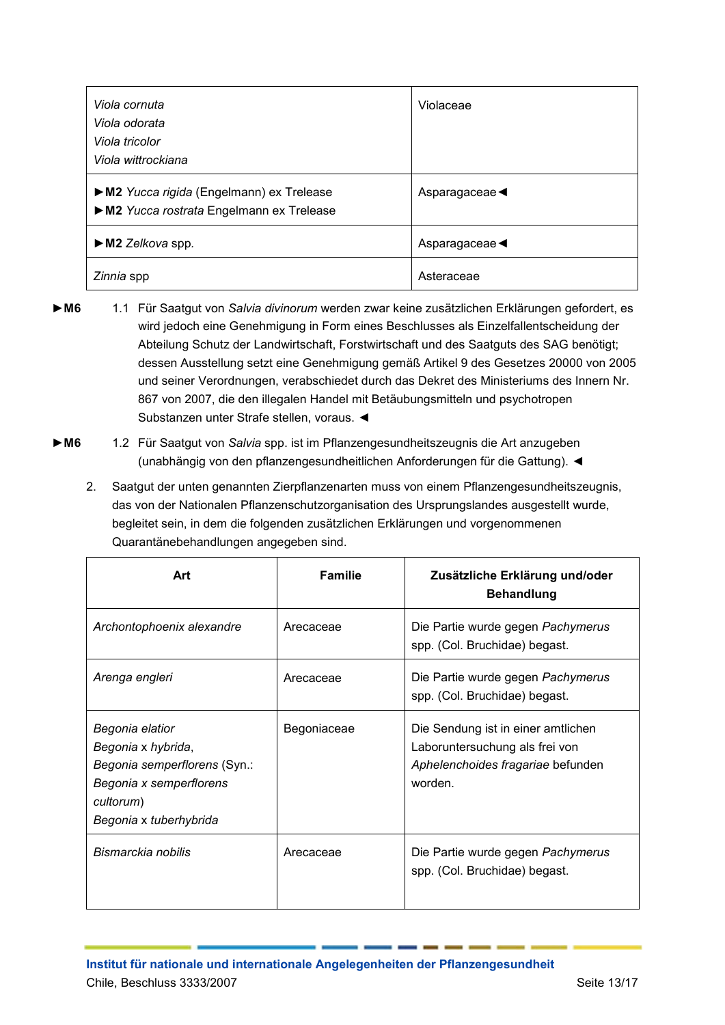| Viola cornuta                                                                      | Violaceae                         |
|------------------------------------------------------------------------------------|-----------------------------------|
| Viola odorata                                                                      |                                   |
| Viola tricolor                                                                     |                                   |
| Viola wittrockiana                                                                 |                                   |
| M2 Yucca rigida (Engelmann) ex Trelease<br>M2 Yucca rostrata Engelmann ex Trelease | Asparagaceae $\blacktriangleleft$ |
| $\triangleright$ M2 Zelkova spp.                                                   | Asparagaceae                      |
| Zinnia spp                                                                         | Asteraceae                        |

- **►M6** 1.1 Für Saatgut von *Salvia divinorum* werden zwar keine zusätzlichen Erklärungen gefordert, es wird jedoch eine Genehmigung in Form eines Beschlusses als Einzelfallentscheidung der Abteilung Schutz der Landwirtschaft, Forstwirtschaft und des Saatguts des SAG benötigt; dessen Ausstellung setzt eine Genehmigung gemäß Artikel 9 des Gesetzes 20000 von 2005 und seiner Verordnungen, verabschiedet durch das Dekret des Ministeriums des Innern Nr. 867 von 2007, die den illegalen Handel mit Betäubungsmitteln und psychotropen Substanzen unter Strafe stellen, voraus. ◄
- **►M6** 1.2 Für Saatgut von *Salvia* spp. ist im Pflanzengesundheitszeugnis die Art anzugeben (unabhängig von den pflanzengesundheitlichen Anforderungen für die Gattung). ◄
	- 2. Saatgut der unten genannten Zierpflanzenarten muss von einem Pflanzengesundheitszeugnis, das von der Nationalen Pflanzenschutzorganisation des Ursprungslandes ausgestellt wurde, begleitet sein, in dem die folgenden zusätzlichen Erklärungen und vorgenommenen Quarantänebehandlungen angegeben sind.

| Art                                                                                                                                     | <b>Familie</b> | Zusätzliche Erklärung und/oder<br><b>Behandlung</b>                                                                  |
|-----------------------------------------------------------------------------------------------------------------------------------------|----------------|----------------------------------------------------------------------------------------------------------------------|
| Archontophoenix alexandre                                                                                                               | Arecaceae      | Die Partie wurde gegen Pachymerus<br>spp. (Col. Bruchidae) begast.                                                   |
| Arenga engleri                                                                                                                          | Arecaceae      | Die Partie wurde gegen Pachymerus<br>spp. (Col. Bruchidae) begast.                                                   |
| Begonia elatior<br>Begonia x hybrida,<br>Begonia semperflorens (Syn.:<br>Begonia x semperflorens<br>cultorum)<br>Begonia x tuberhybrida | Begoniaceae    | Die Sendung ist in einer amtlichen<br>Laboruntersuchung als frei von<br>Aphelenchoides fragariae befunden<br>worden. |
| Bismarckia nobilis                                                                                                                      | Arecaceae      | Die Partie wurde gegen Pachymerus<br>spp. (Col. Bruchidae) begast.                                                   |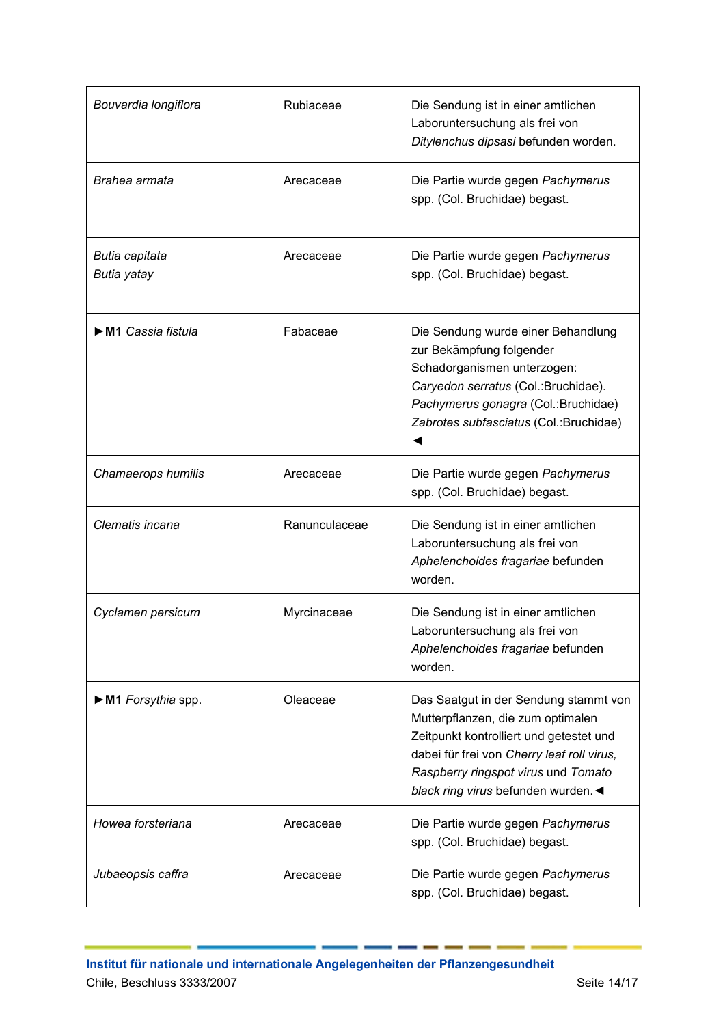| Bouvardia longiflora               | Rubiaceae     | Die Sendung ist in einer amtlichen<br>Laboruntersuchung als frei von<br>Ditylenchus dipsasi befunden worden.                                                                                                                                    |
|------------------------------------|---------------|-------------------------------------------------------------------------------------------------------------------------------------------------------------------------------------------------------------------------------------------------|
| Brahea armata                      | Arecaceae     | Die Partie wurde gegen Pachymerus<br>spp. (Col. Bruchidae) begast.                                                                                                                                                                              |
| Butia capitata<br>Butia yatay      | Arecaceae     | Die Partie wurde gegen Pachymerus<br>spp. (Col. Bruchidae) begast.                                                                                                                                                                              |
| ► M1 Cassia fistula                | Fabaceae      | Die Sendung wurde einer Behandlung<br>zur Bekämpfung folgender<br>Schadorganismen unterzogen:<br>Caryedon serratus (Col.: Bruchidae).<br>Pachymerus gonagra (Col.: Bruchidae)<br>Zabrotes subfasciatus (Col.: Bruchidae)                        |
| Chamaerops humilis                 | Arecaceae     | Die Partie wurde gegen Pachymerus<br>spp. (Col. Bruchidae) begast.                                                                                                                                                                              |
| Clematis incana                    | Ranunculaceae | Die Sendung ist in einer amtlichen<br>Laboruntersuchung als frei von<br>Aphelenchoides fragariae befunden<br>worden.                                                                                                                            |
| Cyclamen persicum                  | Myrcinaceae   | Die Sendung ist in einer amtlichen<br>Laboruntersuchung als frei von<br>Aphelenchoides fragariae befunden<br>worden.                                                                                                                            |
| $\triangleright$ M1 Forsythia spp. | Oleaceae      | Das Saatgut in der Sendung stammt von<br>Mutterpflanzen, die zum optimalen<br>Zeitpunkt kontrolliert und getestet und<br>dabei für frei von Cherry leaf roll virus,<br>Raspberry ringspot virus und Tomato<br>black ring virus befunden wurden. |
| Howea forsteriana                  | Arecaceae     | Die Partie wurde gegen Pachymerus<br>spp. (Col. Bruchidae) begast.                                                                                                                                                                              |
| Jubaeopsis caffra                  | Arecaceae     | Die Partie wurde gegen Pachymerus<br>spp. (Col. Bruchidae) begast.                                                                                                                                                                              |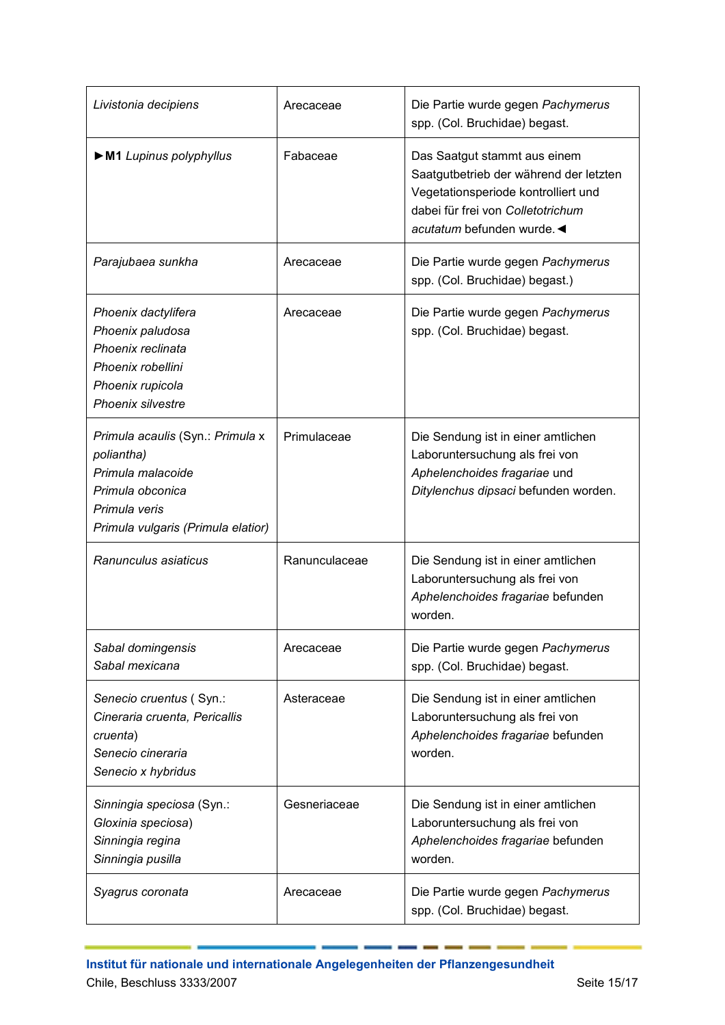| Livistonia decipiens                                                                                                                           | Arecaceae     | Die Partie wurde gegen Pachymerus<br>spp. (Col. Bruchidae) begast.                                                                                                             |
|------------------------------------------------------------------------------------------------------------------------------------------------|---------------|--------------------------------------------------------------------------------------------------------------------------------------------------------------------------------|
| M1 Lupinus polyphyllus                                                                                                                         | Fabaceae      | Das Saatgut stammt aus einem<br>Saatgutbetrieb der während der letzten<br>Vegetationsperiode kontrolliert und<br>dabei für frei von Colletotrichum<br>acutatum befunden wurde. |
| Parajubaea sunkha                                                                                                                              | Arecaceae     | Die Partie wurde gegen Pachymerus<br>spp. (Col. Bruchidae) begast.)                                                                                                            |
| Phoenix dactylifera<br>Phoenix paludosa<br>Phoenix reclinata<br>Phoenix robellini<br>Phoenix rupicola<br><b>Phoenix silvestre</b>              | Arecaceae     | Die Partie wurde gegen Pachymerus<br>spp. (Col. Bruchidae) begast.                                                                                                             |
| Primula acaulis (Syn.: Primula x<br>poliantha)<br>Primula malacoide<br>Primula obconica<br>Primula veris<br>Primula vulgaris (Primula elatior) | Primulaceae   | Die Sendung ist in einer amtlichen<br>Laboruntersuchung als frei von<br>Aphelenchoides fragariae und<br>Ditylenchus dipsaci befunden worden.                                   |
| Ranunculus asiaticus                                                                                                                           | Ranunculaceae | Die Sendung ist in einer amtlichen<br>Laboruntersuchung als frei von<br>Aphelenchoides fragariae befunden<br>worden.                                                           |
| Sabal domingensis<br>Sabal mexicana                                                                                                            | Arecaceae     | Die Partie wurde gegen Pachymerus<br>spp. (Col. Bruchidae) begast.                                                                                                             |
| Senecio cruentus (Syn.:<br>Cineraria cruenta, Pericallis<br>cruenta)<br>Senecio cineraria<br>Senecio x hybridus                                | Asteraceae    | Die Sendung ist in einer amtlichen<br>Laboruntersuchung als frei von<br>Aphelenchoides fragariae befunden<br>worden.                                                           |
| Sinningia speciosa (Syn.:<br>Gloxinia speciosa)<br>Sinningia regina<br>Sinningia pusilla                                                       | Gesneriaceae  | Die Sendung ist in einer amtlichen<br>Laboruntersuchung als frei von<br>Aphelenchoides fragariae befunden<br>worden.                                                           |
| Syagrus coronata                                                                                                                               | Arecaceae     | Die Partie wurde gegen Pachymerus<br>spp. (Col. Bruchidae) begast.                                                                                                             |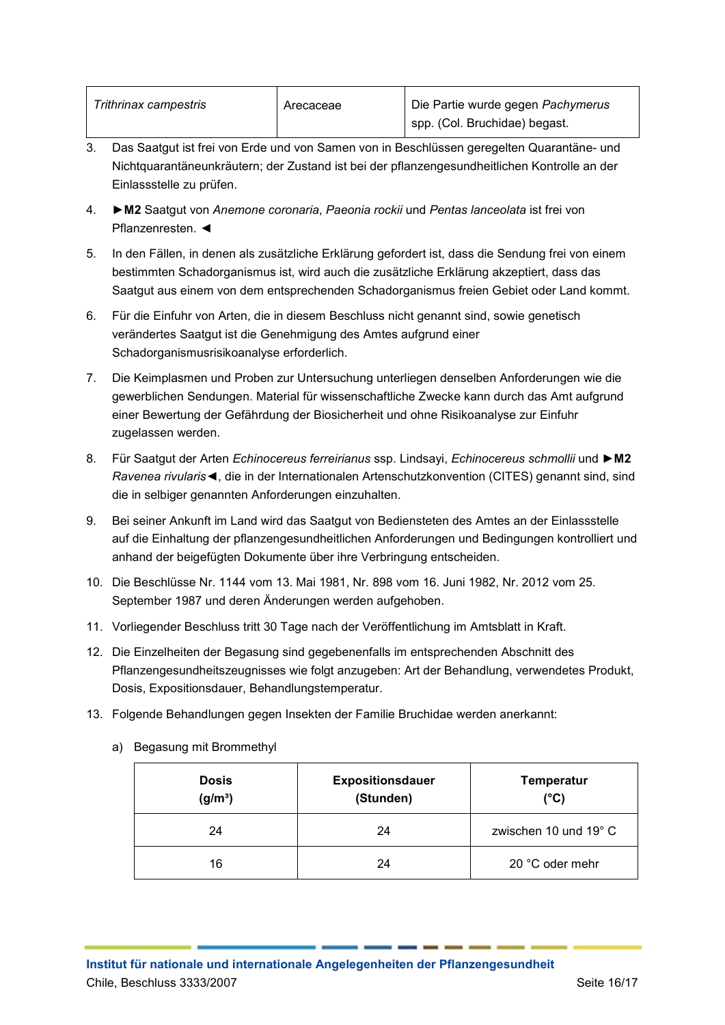| Trithrinax campestris | Arecaceae | Die Partie wurde gegen Pachymerus |
|-----------------------|-----------|-----------------------------------|
|                       |           | I spp. (Col. Bruchidae) begast.   |

- 3. Das Saatgut ist frei von Erde und von Samen von in Beschlüssen geregelten Quarantäne- und Nichtquarantäneunkräutern; der Zustand ist bei der pflanzengesundheitlichen Kontrolle an der Einlassstelle zu prüfen.
- 4. **►M2** Saatgut von *Anemone coronaria*, *Paeonia rockii* und *Pentas lanceolata* ist frei von Pflanzenresten. ◄
- 5. In den Fällen, in denen als zusätzliche Erklärung gefordert ist, dass die Sendung frei von einem bestimmten Schadorganismus ist, wird auch die zusätzliche Erklärung akzeptiert, dass das Saatgut aus einem von dem entsprechenden Schadorganismus freien Gebiet oder Land kommt.
- 6. Für die Einfuhr von Arten, die in diesem Beschluss nicht genannt sind, sowie genetisch verändertes Saatgut ist die Genehmigung des Amtes aufgrund einer Schadorganismusrisikoanalyse erforderlich.
- 7. Die Keimplasmen und Proben zur Untersuchung unterliegen denselben Anforderungen wie die gewerblichen Sendungen. Material für wissenschaftliche Zwecke kann durch das Amt aufgrund einer Bewertung der Gefährdung der Biosicherheit und ohne Risikoanalyse zur Einfuhr zugelassen werden.
- 8. Für Saatgut der Arten *Echinocereus ferreirianus* ssp. Lindsayi, *Echinocereus schmollii* und **►M2**  *Ravenea rivularis*◄, die in der Internationalen Artenschutzkonvention (CITES) genannt sind, sind die in selbiger genannten Anforderungen einzuhalten.
- 9. Bei seiner Ankunft im Land wird das Saatgut von Bediensteten des Amtes an der Einlassstelle auf die Einhaltung der pflanzengesundheitlichen Anforderungen und Bedingungen kontrolliert und anhand der beigefügten Dokumente über ihre Verbringung entscheiden.
- 10. Die Beschlüsse Nr. 1144 vom 13. Mai 1981, Nr. 898 vom 16. Juni 1982, Nr. 2012 vom 25. September 1987 und deren Änderungen werden aufgehoben.
- 11. Vorliegender Beschluss tritt 30 Tage nach der Veröffentlichung im Amtsblatt in Kraft.
- 12. Die Einzelheiten der Begasung sind gegebenenfalls im entsprechenden Abschnitt des Pflanzengesundheitszeugnisses wie folgt anzugeben: Art der Behandlung, verwendetes Produkt, Dosis, Expositionsdauer, Behandlungstemperatur.
- 13. Folgende Behandlungen gegen Insekten der Familie Bruchidae werden anerkannt:

| <b>Dosis</b><br>$(g/m^3)$ | <b>Expositionsdauer</b><br>(Stunden) | <b>Temperatur</b><br>$(^{\circ}C)$ |
|---------------------------|--------------------------------------|------------------------------------|
| 24                        | 24                                   | zwischen 10 und 19°C               |
| 16                        | 24                                   | 20 °C oder mehr                    |

a) Begasung mit Brommethyl